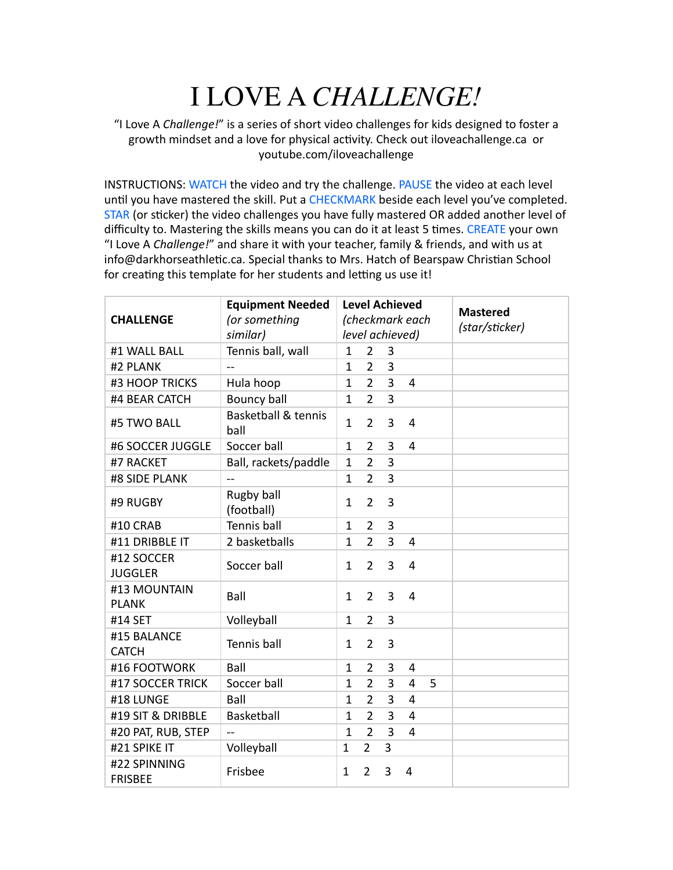## I LOVE A *CHALLENGE!*

"I Love A *Challenge!"* is a series of short video challenges for kids designed to foster a growth mindset and a love for physical activity. Check out iloveachallenge.ca or youtube.com/iloveachallenge 

INSTRUCTIONS: WATCH the video and try the challenge. PAUSE the video at each level until you have mastered the skill. Put a CHECKMARK beside each level you've completed. STAR (or sticker) the video challenges you have fully mastered OR added another level of difficulty to. Mastering the skills means you can do it at least 5 times. CREATE your own "I Love A *Challenge!*" and share it with your teacher, family & friends, and with us at info@darkhorseathletic.ca. Special thanks to Mrs. Hatch of Bearspaw Christian School for creating this template for her students and letting us use it!

| <b>CHALLENGE</b>               | <b>Equipment Needed</b><br>(or something<br>similar) |              |                |                | <b>Level Achieved</b><br>(checkmark each<br>level achieved) |   | <b>Mastered</b><br>(star/sticker) |
|--------------------------------|------------------------------------------------------|--------------|----------------|----------------|-------------------------------------------------------------|---|-----------------------------------|
| #1 WALL BALL                   | Tennis ball, wall                                    | $\mathbf{1}$ | $\overline{2}$ | 3              |                                                             |   |                                   |
| #2 PLANK                       |                                                      | $\mathbf{1}$ | $\overline{2}$ | 3              |                                                             |   |                                   |
| #3 HOOP TRICKS                 | Hula hoop                                            | $\mathbf{1}$ | $\overline{2}$ | 3              | 4                                                           |   |                                   |
| #4 BEAR CATCH                  | <b>Bouncy ball</b>                                   | $\mathbf{1}$ | $\overline{2}$ | 3              |                                                             |   |                                   |
| #5 TWO BALL                    | <b>Basketball &amp; tennis</b><br>ball               | $\mathbf{1}$ | $\overline{2}$ | 3              | 4                                                           |   |                                   |
| #6 SOCCER JUGGLE               | Soccer ball                                          | $\mathbf{1}$ | $\overline{2}$ | 3              | $\overline{4}$                                              |   |                                   |
| #7 RACKET                      | Ball, rackets/paddle                                 | $\mathbf{1}$ | $\overline{2}$ | 3              |                                                             |   |                                   |
| #8 SIDE PLANK                  | $-$                                                  | $\mathbf{1}$ | $\overline{2}$ | 3              |                                                             |   |                                   |
| #9 RUGBY                       | Rugby ball<br>(football)                             | $\mathbf{1}$ | $\overline{2}$ | 3              |                                                             |   |                                   |
| #10 CRAB                       | <b>Tennis ball</b>                                   | $\mathbf{1}$ | $\overline{2}$ | 3              |                                                             |   |                                   |
| #11 DRIBBLE IT                 | 2 basketballs                                        | $\mathbf{1}$ | $\overline{2}$ | $\overline{3}$ | $\overline{4}$                                              |   |                                   |
| #12 SOCCER<br><b>JUGGLER</b>   | Soccer ball                                          | $\mathbf{1}$ | $\overline{2}$ | 3              | 4                                                           |   |                                   |
| #13 MOUNTAIN<br><b>PLANK</b>   | Ball                                                 | $\mathbf{1}$ | $\overline{2}$ | $\overline{3}$ | $\overline{4}$                                              |   |                                   |
| #14 SET                        | Volleyball                                           | $\mathbf{1}$ | $\overline{2}$ | 3              |                                                             |   |                                   |
| #15 BALANCE<br><b>CATCH</b>    | <b>Tennis ball</b>                                   | $\mathbf{1}$ | $\overline{2}$ | 3              |                                                             |   |                                   |
| #16 FOOTWORK                   | Ball                                                 | $\mathbf{1}$ | $\overline{2}$ | 3              | 4                                                           |   |                                   |
| #17 SOCCER TRICK               | Soccer ball                                          | $\mathbf{1}$ | $\overline{2}$ | 3              | $\overline{4}$                                              | 5 |                                   |
| #18 LUNGE                      | Ball                                                 | $\mathbf{1}$ | $\overline{2}$ | $\overline{3}$ | $\overline{4}$                                              |   |                                   |
| #19 SIT & DRIBBLE              | Basketball                                           | $\mathbf{1}$ | $\overline{2}$ | 3              | $\overline{4}$                                              |   |                                   |
| #20 PAT, RUB, STEP             | $-$                                                  | $\mathbf{1}$ | $\overline{2}$ | $\overline{3}$ | 4                                                           |   |                                   |
| #21 SPIKE IT                   | Volleyball                                           | $\mathbf{1}$ | $\overline{2}$ | 3              |                                                             |   |                                   |
| #22 SPINNING<br><b>FRISBEE</b> | Frisbee                                              | 1            | $\overline{2}$ | 3              | 4                                                           |   |                                   |